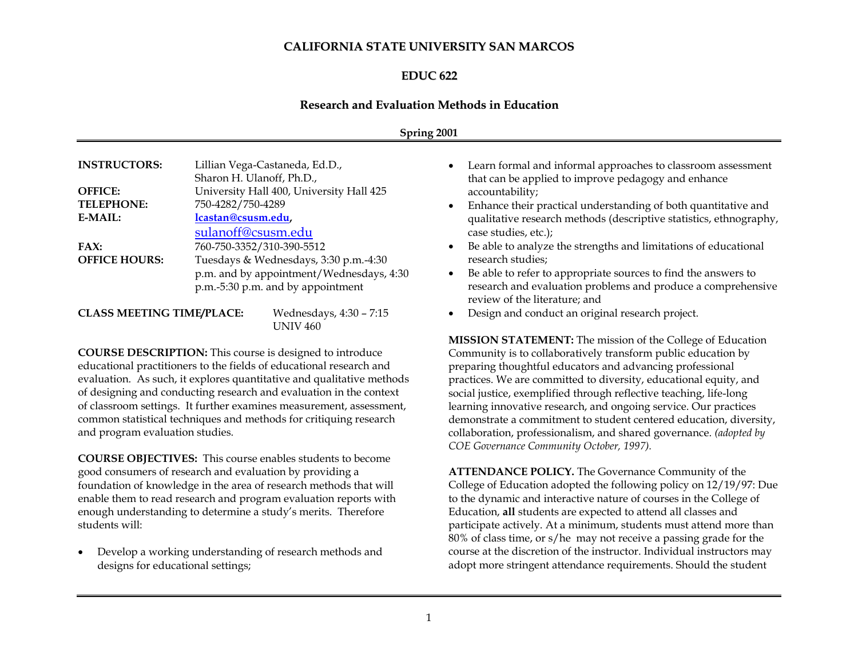# **CALIFORNIA STATE UNIVERSITY SAN MARCOS**

# **EDUC 622**

#### **Research and Evaluation Methods in Education**

#### **Spring 2001**

| <b>INSTRUCTORS:</b>                 | Lillian Vega-Castaneda, Ed.D.,<br>Sharon H. Ulanoff, Ph.D.,                                                                                         |
|-------------------------------------|-----------------------------------------------------------------------------------------------------------------------------------------------------|
| <b>OFFICE:</b><br><b>TELEPHONE:</b> | University Hall 400, University Hall 425<br>750-4282/750-4289                                                                                       |
| E-MAIL:                             | lcastan@csusm.edu,<br>sulanoff@csusm.edu                                                                                                            |
| FAX:<br><b>OFFICE HOURS:</b>        | 760-750-3352/310-390-5512<br>Tuesdays & Wednesdays, 3:30 p.m.-4:30<br>p.m. and by appointment/Wednesdays, 4:30<br>p.m.-5:30 p.m. and by appointment |

| <b>CLASS MEETING TIME/PLACE:</b> | Wednesdays, 4:30 - 7:15 |  |
|----------------------------------|-------------------------|--|
|                                  | UNIV 460                |  |

**COURSE DESCRIPTION:** This course is designed to introduce educational practitioners to the fields of educational research and evaluation. As such, it explores quantitative and qualitative methods of designing and conducting research and evaluation in the context of classroom settings. It further examines measurement, assessment, common statistical techniques and methods for critiquing research and program evaluation studies.

**COURSE OBJECTIVES:** This course enables students to become good consumers of research and evaluation by providing a foundation of knowledge in the area of research methods that will enable them to read research and program evaluation reports with enough understanding to determine a study's merits. Therefore students will:

• Develop a working understanding of research methods and designs for educational settings;

- Learn formal and informal approaches to classroom assessment that can be applied to improve pedagogy and enhance accountability;
- Enhance their practical understanding of both quantitative and qualitative research methods (descriptive statistics, ethnography, case studies, etc.);
- Be able to analyze the strengths and limitations of educational research studies;
- Be able to refer to appropriate sources to find the answers to research and evaluation problems and produce a comprehensive review of the literature; and
- Design and conduct an original research project.

**MISSION STATEMENT:** The mission of the College of Education Community is to collaboratively transform public education by preparing thoughtful educators and advancing professional practices. We are committed to diversity, educational equity, and social justice, exemplified through reflective teaching, life-long learning innovative research, and ongoing service. Our practices demonstrate a commitment to student centered education, diversity, collaboration, professionalism, and shared governance. *(adopted by COE Governance Community October, 1997).*

**ATTENDANCE POLICY.** The Governance Community of the College of Education adopted the following policy on 12/19/97: Due to the dynamic and interactive nature of courses in the College of Education, **all** students are expected to attend all classes and participate actively. At a minimum, students must attend more than 80% of class time, or s/he may not receive a passing grade for the course at the discretion of the instructor. Individual instructors may adopt more stringent attendance requirements. Should the student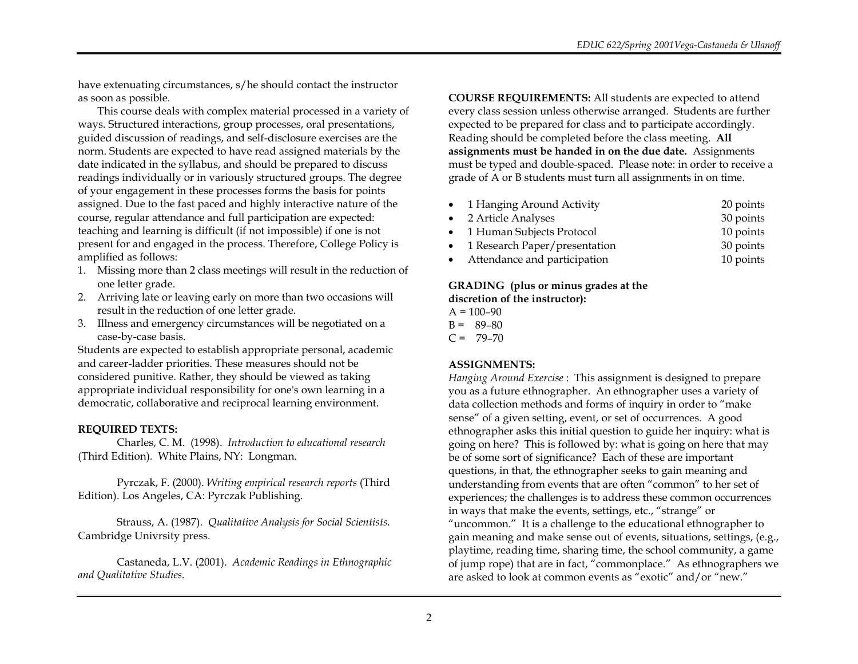have extenuating circumstances, s/he should contact the instructor as soon as possible.

This course deals with complex material processed in a variety of ways. Structured interactions, group processes, oral presentations, guided discussion of readings, and self-disclosure exercises are the norm. Students are expected to have read assigned materials by the date indicated in the syllabus, and should be prepared to discuss readings individually or in variously structured groups. The degree of your engagement in these processes forms the basis for points assigned. Due to the fast paced and highly interactive nature of the course, regular attendance and full participation are expected: teaching and learning is difficult (if not impossible) if one is not present for and engaged in the process. Therefore, College Policy is amplified as follows:

- 1. Missing more than 2 class meetings will result in the reduction of one letter grade.
- 2. Arriving late or leaving early on more than two occasions will result in the reduction of one letter grade.
- 3. Illness and emergency circumstances will be negotiated on a case-by-case basis.

Students are expected to establish appropriate personal, academic and career-ladder priorities. These measures should not be considered punitive. Rather, they should be viewed as taking appropriate individual responsibility for one's own learning in a democratic, collaborative and reciprocal learning environment.

### **REQUIRED TEXTS:**

Charles, C. M. (1998). *Introduction to educational research*  (Third Edition)*.* White Plains, NY: Longman.

Pyrczak, F. (2000). *Writing empirical research reports* (Third Edition). Los Angeles, CA: Pyrczak Publishing.

Strauss, A. (1987). *Qualitative Analysis for Social Scientists.* Cambridge Univrsity press.

Castaneda, L.V. (2001). *Academic Readings in Ethnographic and Qualitative Studies.* 

**COURSE REQUIREMENTS:** All students are expected to attend every class session unless otherwise arranged. Students are further expected to be prepared for class and to participate accordingly. Reading should be completed before the class meeting. **All assignments must be handed in on the due date.** Assignments must be typed and double-spaced. Please note: in order to receive a grade of A or B students must turn all assignments in on time.

| • 1 Hanging Around Activity     | 20 points |
|---------------------------------|-----------|
| • 2 Article Analyses            | 30 points |
| • 1 Human Subjects Protocol     | 10 points |
| • 1 Research Paper/presentation | 30 points |
| • Attendance and participation  | 10 points |

# **GRADING (plus or minus grades at the discretion of the instructor):**

 $A = 100 - 90$ 

- $B = 89-80$
- $C = 79-70$

### **ASSIGNMENTS:**

*Hanging Around Exercise* : This assignment is designed to prepare you as a future ethnographer. An ethnographer uses a variety of data collection methods and forms of inquiry in order to "make sense" of a given setting, event, or set of occurrences. A good ethnographer asks this initial question to guide her inquiry: what is going on here? This is followed by: what is going on here that may be of some sort of significance? Each of these are important questions, in that, the ethnographer seeks to gain meaning and understanding from events that are often "common" to her set of experiences; the challenges is to address these common occurrences in ways that make the events, settings, etc., "strange" or "uncommon." It is a challenge to the educational ethnographer to gain meaning and make sense out of events, situations, settings, (e.g., playtime, reading time, sharing time, the school community, a game of jump rope) that are in fact, "commonplace." As ethnographers we are asked to look at common events as "exotic" and/or "new."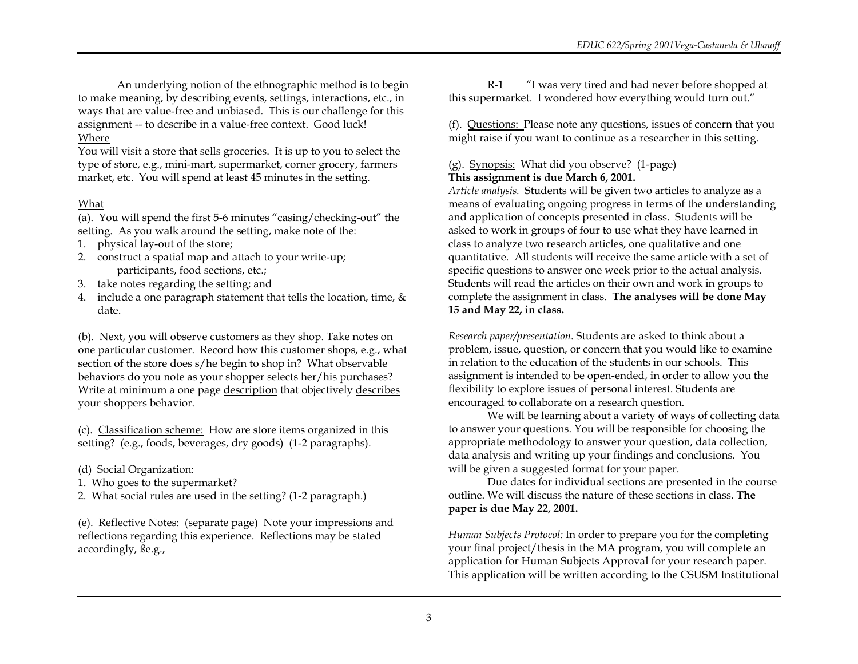An underlying notion of the ethnographic method is to begin to make meaning, by describing events, settings, interactions, etc., in ways that are value-free and unbiased. This is our challenge for this assignment -- to describe in a value-free context. Good luck! Where

You will visit a store that sells groceries. It is up to you to select the type of store, e.g., mini-mart, supermarket, corner grocery, farmers market, etc. You will spend at least 45 minutes in the setting.

# What

(a). You will spend the first 5-6 minutes "casing/checking-out" the setting. As you walk around the setting, make note of the:

- 1. physical lay-out of the store;
- 2. construct a spatial map and attach to your write-up; participants, food sections, etc.;
- 3. take notes regarding the setting; and
- 4. include a one paragraph statement that tells the location, time, & date.

(b). Next, you will observe customers as they shop. Take notes on one particular customer. Record how this customer shops, e.g., what section of the store does s/he begin to shop in? What observable behaviors do you note as your shopper selects her/his purchases? Write at minimum a one page description that objectively describes your shoppers behavior.

(c). Classification scheme: How are store items organized in this setting? (e.g., foods, beverages, dry goods) (1-2 paragraphs).

- (d) Social Organization:
- 1. Who goes to the supermarket?
- 2. What social rules are used in the setting? (1-2 paragraph.)

(e). Reflective Notes: (separate page) Note your impressions and reflections regarding this experience. Reflections may be stated accordingly, ße.g.,

R-1 "I was very tired and had never before shopped at this supermarket. I wondered how everything would turn out."

(f). Questions: Please note any questions, issues of concern that you might raise if you want to continue as a researcher in this setting.

# (g). Synopsis: What did you observe? (1-page) **This assignment is due March 6, 2001.**

*Article analysis.* Students will be given two articles to analyze as a means of evaluating ongoing progress in terms of the understanding and application of concepts presented in class. Students will be asked to work in groups of four to use what they have learned in class to analyze two research articles, one qualitative and one quantitative. All students will receive the same article with a set of specific questions to answer one week prior to the actual analysis. Students will read the articles on their own and work in groups to complete the assignment in class. **The analyses will be done May 15 and May 22, in class.**

*Research paper/presentation*. Students are asked to think about a problem, issue, question, or concern that you would like to examine in relation to the education of the students in our schools. This assignment is intended to be open-ended, in order to allow you the flexibility to explore issues of personal interest. Students are encouraged to collaborate on a research question.

We will be learning about a variety of ways of collecting data to answer your questions. You will be responsible for choosing the appropriate methodology to answer your question, data collection, data analysis and writing up your findings and conclusions. You will be given a suggested format for your paper.

Due dates for individual sections are presented in the course outline. We will discuss the nature of these sections in class. **The paper is due May 22, 2001.**

*Human Subjects Protocol:* In order to prepare you for the completing your final project/thesis in the MA program, you will complete an application for Human Subjects Approval for your research paper. This application will be written according to the CSUSM Institutional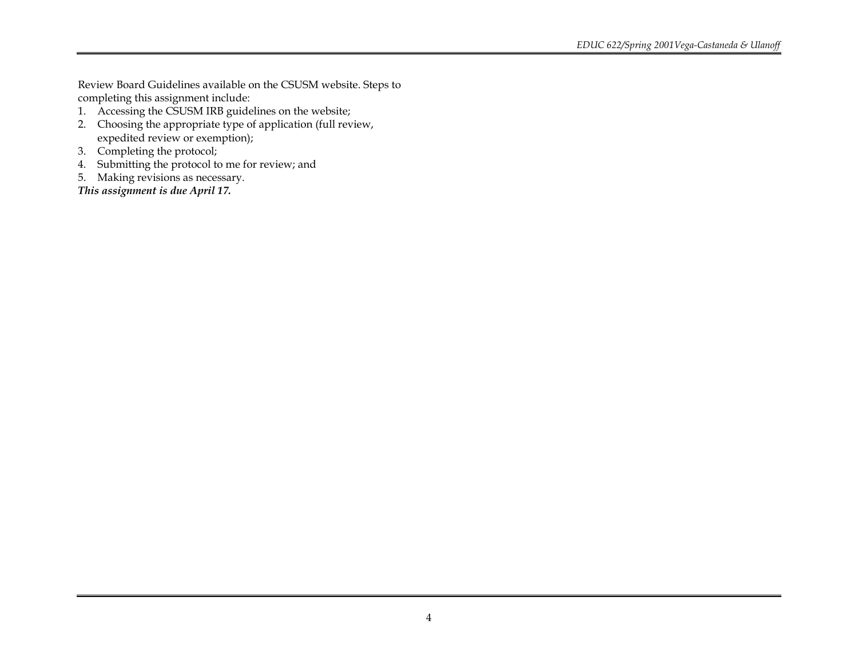Review Board Guidelines available on the CSUSM website. Steps to completing this assignment include:

- 1. Accessing the CSUSM IRB guidelines on the website;
- 2. Choosing the appropriate type of application (full review, expedited review or exemption);
- 3. Completing the protocol;
- 4. Submitting the protocol to me for review; and
- 5. Making revisions as necessary.

*This assignment is due April 17.*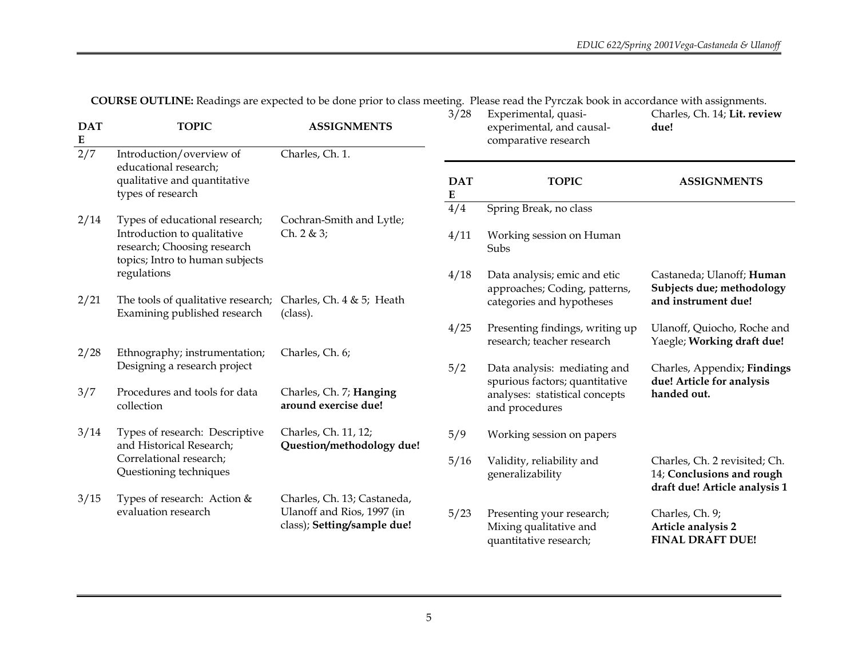**COURSE OUTLINE:** Readings are expected to be done prior to class meeting. Please read the Pyrczak book in accordance with assignments.

| <b>DAT</b><br>E | <b>TOPIC</b>                                                                                  | <b>ASSIGNMENTS</b>                                        | 3/28                    | Experimental, quasi-<br>experimental, and causal-<br>comparative research          | Charles, Ch. 14; Lit. review<br>due!                                                        |
|-----------------|-----------------------------------------------------------------------------------------------|-----------------------------------------------------------|-------------------------|------------------------------------------------------------------------------------|---------------------------------------------------------------------------------------------|
| 2/7             | Introduction/overview of<br>educational research;                                             | Charles, Ch. 1.                                           |                         |                                                                                    |                                                                                             |
|                 | qualitative and quantitative<br>types of research                                             |                                                           | <b>DAT</b><br>${\bf E}$ | <b>TOPIC</b>                                                                       | <b>ASSIGNMENTS</b>                                                                          |
| 2/14            | Types of educational research;                                                                | Cochran-Smith and Lytle;                                  | 4/4                     | Spring Break, no class                                                             |                                                                                             |
|                 | Introduction to qualitative<br>research; Choosing research<br>topics; Intro to human subjects | Ch. $2 & 3;$                                              | 4/11                    | Working session on Human<br>Subs                                                   |                                                                                             |
|                 | regulations                                                                                   |                                                           | 4/18                    | Data analysis; emic and etic<br>approaches; Coding, patterns,                      | Castaneda; Ulanoff; Human<br>Subjects due; methodology                                      |
| 2/21            | The tools of qualitative research;<br>Examining published research                            | Charles, Ch. $4 & 5$ ; Heath<br>(class).                  |                         | categories and hypotheses                                                          | and instrument due!                                                                         |
|                 |                                                                                               |                                                           | 4/25                    | Presenting findings, writing up<br>research; teacher research                      | Ulanoff, Quiocho, Roche and<br>Yaegle; Working draft due!                                   |
| 2/28            | Ethnography; instrumentation;<br>Designing a research project                                 | Charles, Ch. 6;                                           | 5/2                     | Data analysis: mediating and                                                       | Charles, Appendix; Findings                                                                 |
| 3/7             | Procedures and tools for data<br>collection                                                   | Charles, Ch. 7; Hanging<br>around exercise due!           |                         | spurious factors; quantitative<br>analyses: statistical concepts<br>and procedures | due! Article for analysis<br>handed out.                                                    |
| 3/14            | Types of research: Descriptive<br>and Historical Research;                                    | Charles, Ch. 11, 12;<br>Question/methodology due!         | 5/9                     | Working session on papers                                                          |                                                                                             |
|                 | Correlational research;<br>Questioning techniques                                             |                                                           | 5/16                    | Validity, reliability and<br>generalizability                                      | Charles, Ch. 2 revisited; Ch.<br>14; Conclusions and rough<br>draft due! Article analysis 1 |
| 3/15            | Types of research: Action &                                                                   | Charles, Ch. 13; Castaneda,                               |                         |                                                                                    |                                                                                             |
|                 | evaluation research                                                                           | Ulanoff and Rios, 1997 (in<br>class); Setting/sample due! | 5/23                    | Presenting your research;<br>Mixing qualitative and<br>quantitative research;      | Charles, Ch. 9;<br>Article analysis 2<br><b>FINAL DRAFT DUE!</b>                            |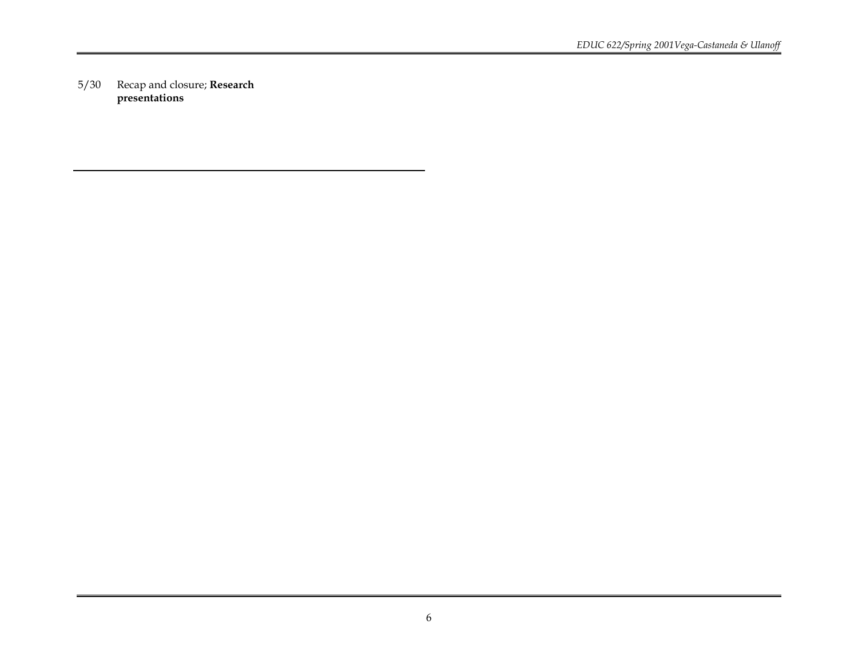5/30 Recap and closure; **Research presentations**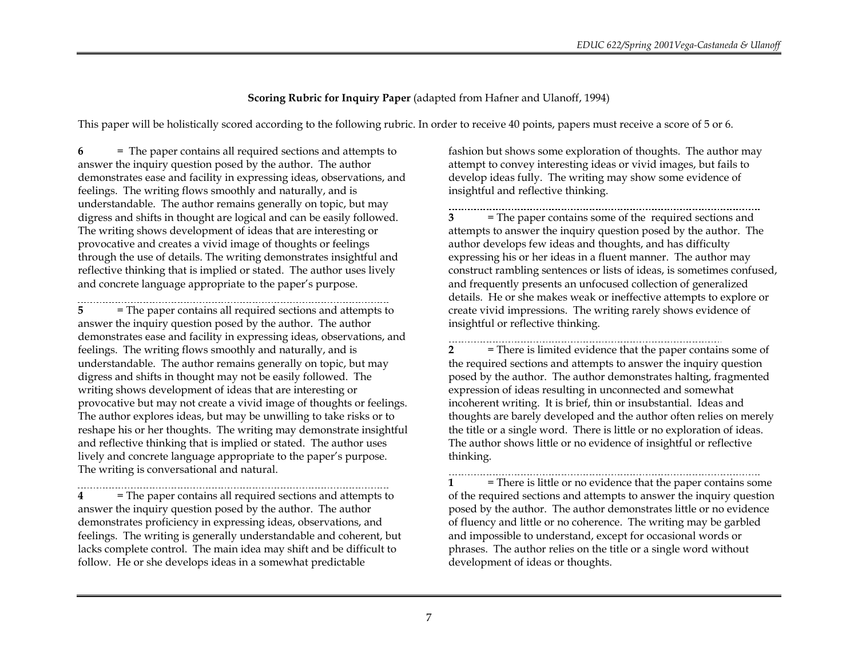# **Scoring Rubric for Inquiry Paper** (adapted from Hafner and Ulanoff, 1994)

This paper will be holistically scored according to the following rubric. In order to receive 40 points, papers must receive a score of 5 or 6.

**6** = The paper contains all required sections and attempts to answer the inquiry question posed by the author. The author demonstrates ease and facility in expressing ideas, observations, and feelings. The writing flows smoothly and naturally, and is understandable. The author remains generally on topic, but may digress and shifts in thought are logical and can be easily followed. The writing shows development of ideas that are interesting or provocative and creates a vivid image of thoughts or feelings through the use of details. The writing demonstrates insightful and reflective thinking that is implied or stated. The author uses lively and concrete language appropriate to the paper's purpose.

**5** = The paper contains all required sections and attempts to answer the inquiry question posed by the author. The author demonstrates ease and facility in expressing ideas, observations, and feelings. The writing flows smoothly and naturally, and is understandable. The author remains generally on topic, but may digress and shifts in thought may not be easily followed. The writing shows development of ideas that are interesting or provocative but may not create a vivid image of thoughts or feelings. The author explores ideas, but may be unwilling to take risks or to reshape his or her thoughts. The writing may demonstrate insightful and reflective thinking that is implied or stated. The author uses lively and concrete language appropriate to the paper's purpose. The writing is conversational and natural.

**4** = The paper contains all required sections and attempts to answer the inquiry question posed by the author. The author demonstrates proficiency in expressing ideas, observations, and feelings. The writing is generally understandable and coherent, but lacks complete control. The main idea may shift and be difficult to follow. He or she develops ideas in a somewhat predictable

fashion but shows some exploration of thoughts. The author may attempt to convey interesting ideas or vivid images, but fails to develop ideas fully. The writing may show some evidence of insightful and reflective thinking.

**3** = The paper contains some of the required sections and attempts to answer the inquiry question posed by the author. The author develops few ideas and thoughts, and has difficulty expressing his or her ideas in a fluent manner. The author may construct rambling sentences or lists of ideas, is sometimes confused, and frequently presents an unfocused collection of generalized details. He or she makes weak or ineffective attempts to explore or create vivid impressions. The writing rarely shows evidence of insightful or reflective thinking.

**2** = There is limited evidence that the paper contains some of the required sections and attempts to answer the inquiry question posed by the author. The author demonstrates halting, fragmented expression of ideas resulting in unconnected and somewhat incoherent writing. It is brief, thin or insubstantial. Ideas and thoughts are barely developed and the author often relies on merely the title or a single word. There is little or no exploration of ideas. The author shows little or no evidence of insightful or reflective thinking.

**1** = There is little or no evidence that the paper contains some of the required sections and attempts to answer the inquiry question posed by the author. The author demonstrates little or no evidence of fluency and little or no coherence. The writing may be garbled and impossible to understand, except for occasional words or phrases. The author relies on the title or a single word without development of ideas or thoughts.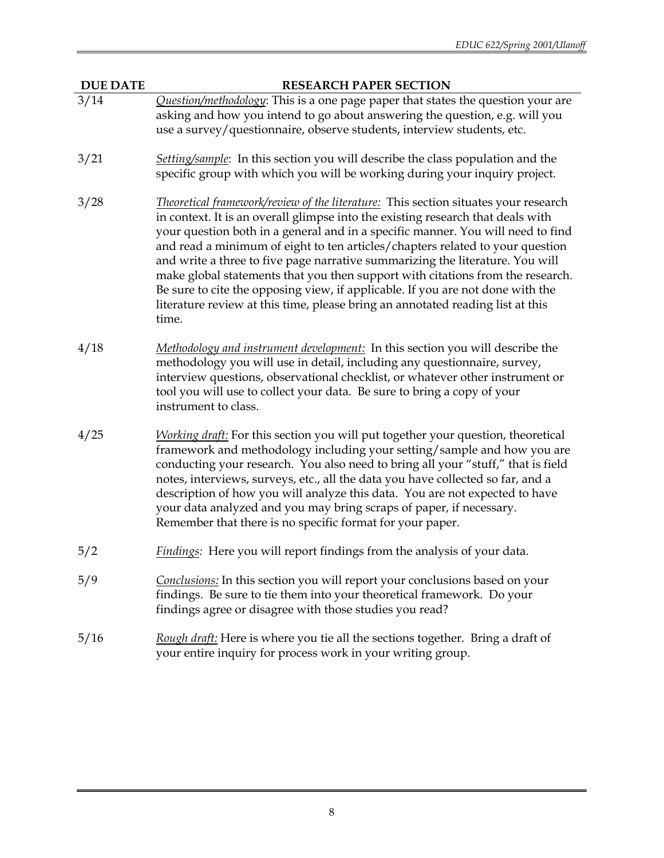**DUE DATE RESEARCH PAPER SECTION**

- 3/14 *Question/methodology*: This is a one page paper that states the question your are asking and how you intend to go about answering the question, e.g. will you use a survey/questionnaire, observe students, interview students, etc.
- 3/21 *Setting/sample*: In this section you will describe the class population and the specific group with which you will be working during your inquiry project.
- 3/28 *Theoretical framework/review of the literature:* This section situates your research in context. It is an overall glimpse into the existing research that deals with your question both in a general and in a specific manner. You will need to find and read a minimum of eight to ten articles/chapters related to your question and write a three to five page narrative summarizing the literature. You will make global statements that you then support with citations from the research. Be sure to cite the opposing view, if applicable. If you are not done with the literature review at this time, please bring an annotated reading list at this time.
- 4/18 *Methodology and instrument development:* In this section you will describe the methodology you will use in detail, including any questionnaire, survey, interview questions, observational checklist, or whatever other instrument or tool you will use to collect your data. Be sure to bring a copy of your instrument to class.
- 4/25 *Working draft:* For this section you will put together your question, theoretical framework and methodology including your setting/sample and how you are conducting your research. You also need to bring all your "stuff," that is field notes, interviews, surveys, etc., all the data you have collected so far, and a description of how you will analyze this data. You are not expected to have your data analyzed and you may bring scraps of paper, if necessary. Remember that there is no specific format for your paper.
- 5/2 *Findings:* Here you will report findings from the analysis of your data.
- 5/9 *Conclusions:* In this section you will report your conclusions based on your findings. Be sure to tie them into your theoretical framework. Do your findings agree or disagree with those studies you read?
- 5/16 *Rough draft:* Here is where you tie all the sections together. Bring a draft of your entire inquiry for process work in your writing group.